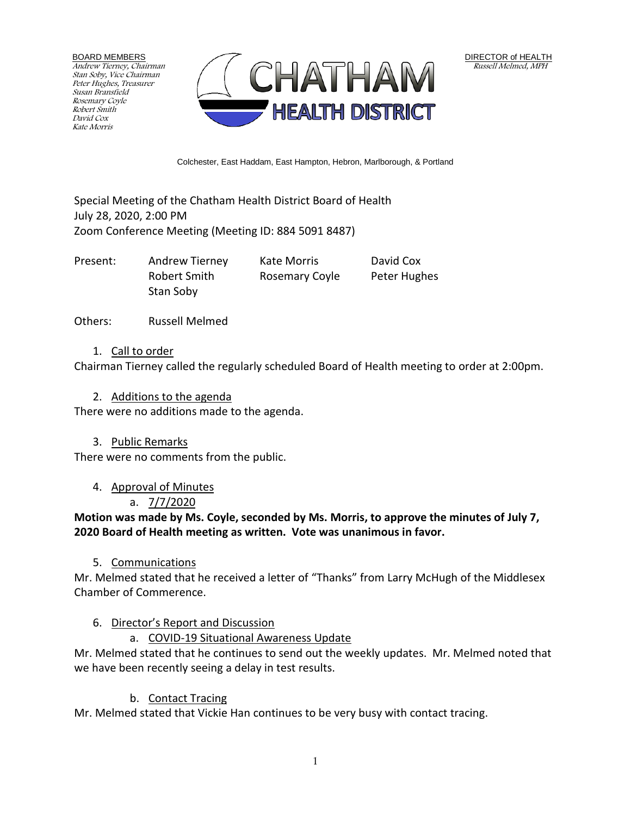BOARD MEMBERS Andrew Tierney, Chairman Stan Soby, Vice Chairman Peter Hughes, Treasurer Susan Bransfield Rosemary Coyle Robert Smith David Cox Kate Morris



Colchester, East Haddam, East Hampton, Hebron, Marlborough, & Portland

Special Meeting of the Chatham Health District Board of Health July 28, 2020, 2:00 PM Zoom Conference Meeting (Meeting ID: 884 5091 8487)

Present: Andrew Tierney Kate Morris David Cox

Robert Smith Rosemary Coyle Peter Hughes Stan Soby

Others: Russell Melmed

### 1. Call to order

Chairman Tierney called the regularly scheduled Board of Health meeting to order at 2:00pm.

### 2. Additions to the agenda

There were no additions made to the agenda.

### 3. Public Remarks

There were no comments from the public.

### 4. Approval of Minutes

### a. 7/7/2020

**Motion was made by Ms. Coyle, seconded by Ms. Morris, to approve the minutes of July 7, 2020 Board of Health meeting as written. Vote was unanimous in favor.**

### 5. Communications

Mr. Melmed stated that he received a letter of "Thanks" from Larry McHugh of the Middlesex Chamber of Commerence.

### 6. Director's Report and Discussion

a. COVID-19 Situational Awareness Update

Mr. Melmed stated that he continues to send out the weekly updates. Mr. Melmed noted that we have been recently seeing a delay in test results.

### b. Contact Tracing

Mr. Melmed stated that Vickie Han continues to be very busy with contact tracing.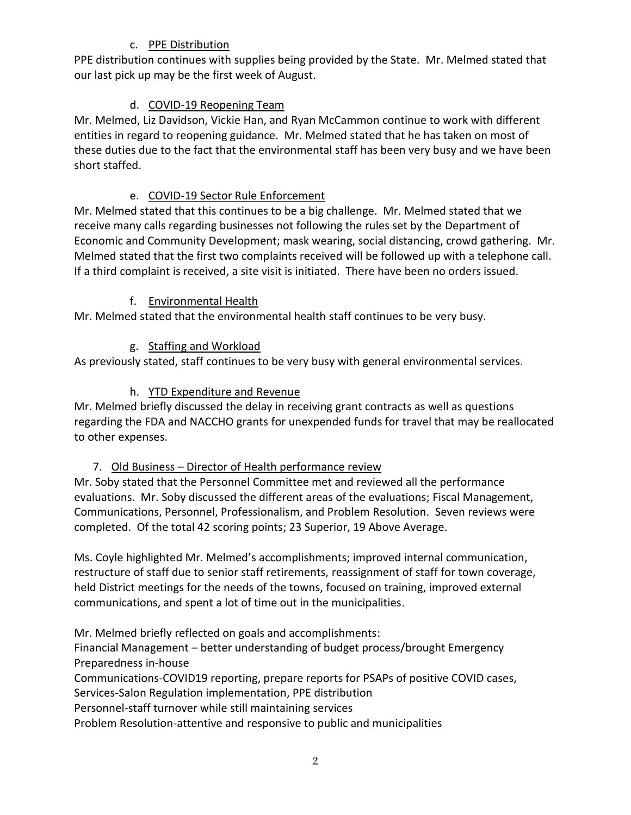## c. PPE Distribution

PPE distribution continues with supplies being provided by the State. Mr. Melmed stated that our last pick up may be the first week of August.

# d. COVID-19 Reopening Team

Mr. Melmed, Liz Davidson, Vickie Han, and Ryan McCammon continue to work with different entities in regard to reopening guidance. Mr. Melmed stated that he has taken on most of these duties due to the fact that the environmental staff has been very busy and we have been short staffed.

## e. COVID-19 Sector Rule Enforcement

Mr. Melmed stated that this continues to be a big challenge. Mr. Melmed stated that we receive many calls regarding businesses not following the rules set by the Department of Economic and Community Development; mask wearing, social distancing, crowd gathering. Mr. Melmed stated that the first two complaints received will be followed up with a telephone call. If a third complaint is received, a site visit is initiated. There have been no orders issued.

# f. Environmental Health

Mr. Melmed stated that the environmental health staff continues to be very busy.

# g. Staffing and Workload

As previously stated, staff continues to be very busy with general environmental services.

# h. YTD Expenditure and Revenue

Mr. Melmed briefly discussed the delay in receiving grant contracts as well as questions regarding the FDA and NACCHO grants for unexpended funds for travel that may be reallocated to other expenses.

# 7. Old Business - Director of Health performance review

Mr. Soby stated that the Personnel Committee met and reviewed all the performance evaluations. Mr. Soby discussed the different areas of the evaluations; Fiscal Management, Communications, Personnel, Professionalism, and Problem Resolution. Seven reviews were completed. Of the total 42 scoring points; 23 Superior, 19 Above Average.

Ms. Coyle highlighted Mr. Melmed's accomplishments; improved internal communication, restructure of staff due to senior staff retirements, reassignment of staff for town coverage, held District meetings for the needs of the towns, focused on training, improved external communications, and spent a lot of time out in the municipalities.

Mr. Melmed briefly reflected on goals and accomplishments:

Financial Management – better understanding of budget process/brought Emergency Preparedness in-house

Communications-COVID19 reporting, prepare reports for PSAPs of positive COVID cases, Services-Salon Regulation implementation, PPE distribution

Personnel-staff turnover while still maintaining services

Problem Resolution-attentive and responsive to public and municipalities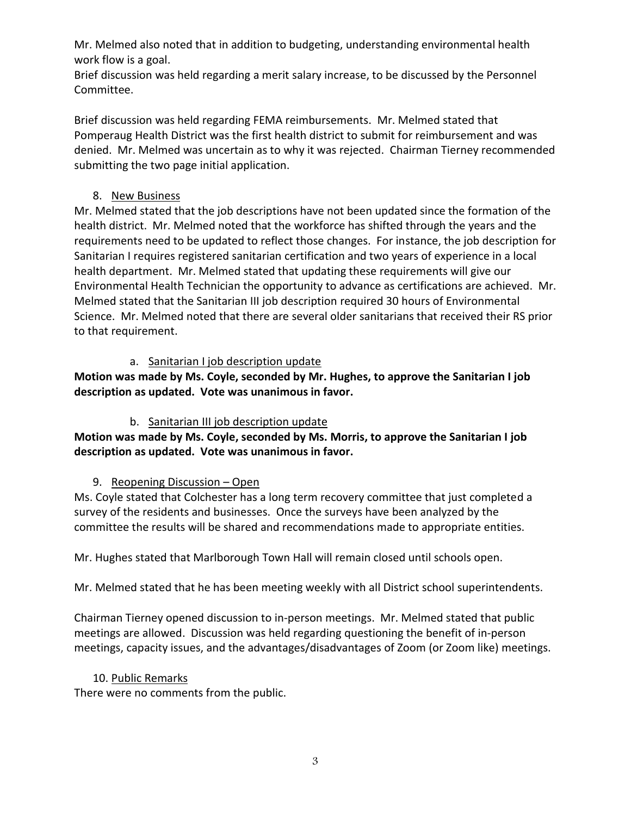Mr. Melmed also noted that in addition to budgeting, understanding environmental health work flow is a goal.

Brief discussion was held regarding a merit salary increase, to be discussed by the Personnel Committee.

Brief discussion was held regarding FEMA reimbursements. Mr. Melmed stated that Pomperaug Health District was the first health district to submit for reimbursement and was denied. Mr. Melmed was uncertain as to why it was rejected. Chairman Tierney recommended submitting the two page initial application.

## 8. New Business

Mr. Melmed stated that the job descriptions have not been updated since the formation of the health district. Mr. Melmed noted that the workforce has shifted through the years and the requirements need to be updated to reflect those changes. For instance, the job description for Sanitarian I requires registered sanitarian certification and two years of experience in a local health department. Mr. Melmed stated that updating these requirements will give our Environmental Health Technician the opportunity to advance as certifications are achieved. Mr. Melmed stated that the Sanitarian III job description required 30 hours of Environmental Science. Mr. Melmed noted that there are several older sanitarians that received their RS prior to that requirement.

## a. Sanitarian I job description update

**Motion was made by Ms. Coyle, seconded by Mr. Hughes, to approve the Sanitarian I job description as updated. Vote was unanimous in favor.**

## b. Sanitarian III job description update

**Motion was made by Ms. Coyle, seconded by Ms. Morris, to approve the Sanitarian I job description as updated. Vote was unanimous in favor.**

### 9. Reopening Discussion – Open

Ms. Coyle stated that Colchester has a long term recovery committee that just completed a survey of the residents and businesses. Once the surveys have been analyzed by the committee the results will be shared and recommendations made to appropriate entities.

Mr. Hughes stated that Marlborough Town Hall will remain closed until schools open.

Mr. Melmed stated that he has been meeting weekly with all District school superintendents.

Chairman Tierney opened discussion to in-person meetings. Mr. Melmed stated that public meetings are allowed. Discussion was held regarding questioning the benefit of in-person meetings, capacity issues, and the advantages/disadvantages of Zoom (or Zoom like) meetings.

### 10. Public Remarks

There were no comments from the public.